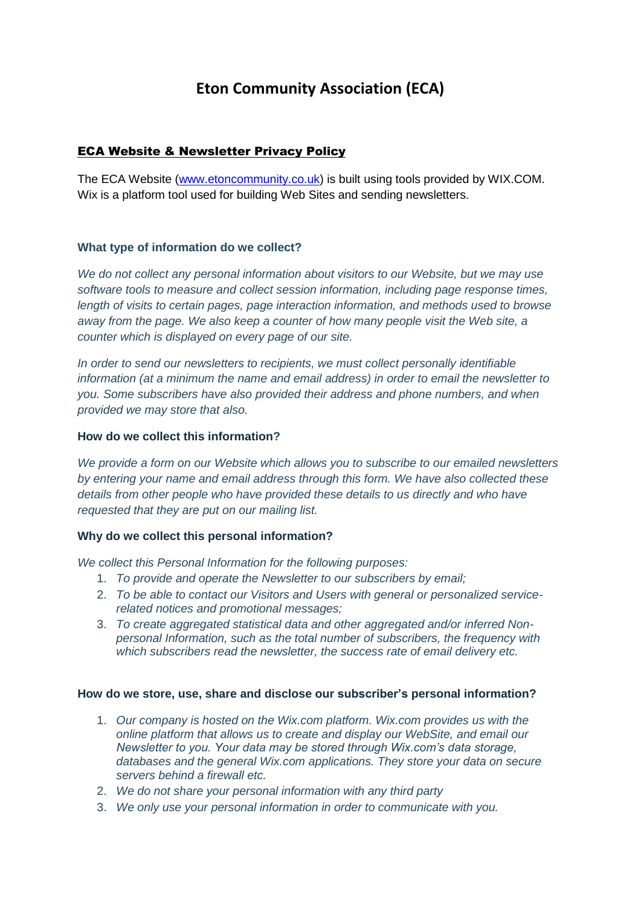# **Eton Community Association (ECA)**

## ECA Website & Newsletter Privacy Policy

The ECA Website [\(www.etoncommunity.co.uk\)](http://www.etoncommunity.co.uk/) is built using tools provided by WIX.COM. Wix is a platform tool used for building Web Sites and sending newsletters.

## **What type of information do we collect?**

*We do not collect any personal information about visitors to our Website, but we may use software tools to measure and collect session information, including page response times, length of visits to certain pages, page interaction information, and methods used to browse away from the page. We also keep a counter of how many people visit the Web site, a counter which is displayed on every page of our site.* 

*In order to send our newsletters to recipients, we must collect personally identifiable information (at a minimum the name and email address) in order to email the newsletter to you. Some subscribers have also provided their address and phone numbers, and when provided we may store that also.* 

### **How do we collect this information?**

*We provide a form on our Website which allows you to subscribe to our emailed newsletters by entering your name and email address through this form. We have also collected these details from other people who have provided these details to us directly and who have requested that they are put on our mailing list.*

#### **Why do we collect this personal information?**

*We collect this Personal Information for the following purposes:*

- 1. *To provide and operate the Newsletter to our subscribers by email;*
- 2. *To be able to contact our Visitors and Users with general or personalized servicerelated notices and promotional messages;*
- 3. *To create aggregated statistical data and other aggregated and/or inferred Nonpersonal Information, such as the total number of subscribers, the frequency with which subscribers read the newsletter, the success rate of email delivery etc.*

#### **How do we store, use, share and disclose our subscriber's personal information?**

- 1. *Our company is hosted on the Wix.com platform. Wix.com provides us with the online platform that allows us to create and display our WebSite, and email our Newsletter to you. Your data may be stored through Wix.com's data storage, databases and the general Wix.com applications. They store your data on secure servers behind a firewall etc.*
- 2. *We do not share your personal information with any third party*
- 3. *We only use your personal information in order to communicate with you.*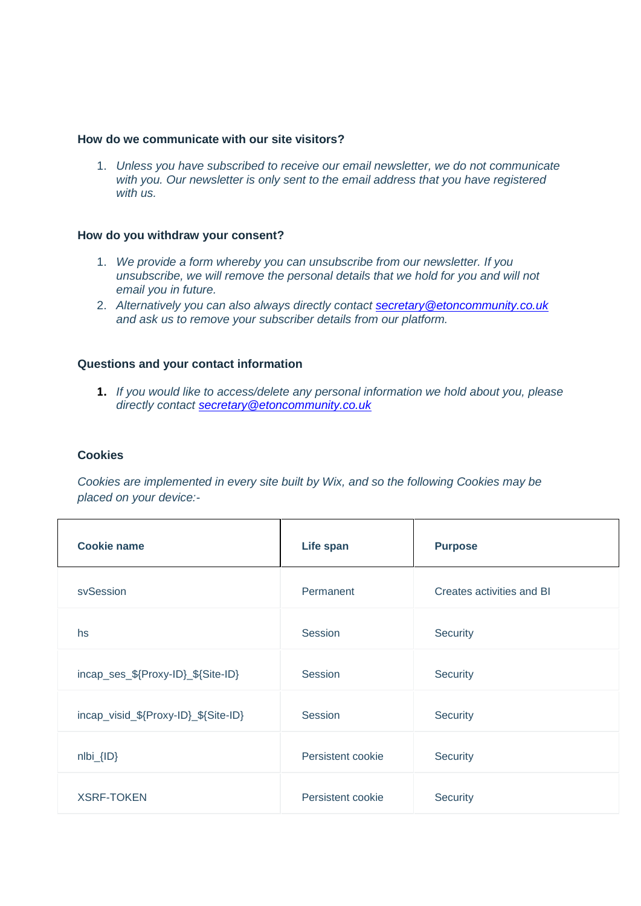#### **How do we communicate with our site visitors?**

1. *Unless you have subscribed to receive our email newsletter, we do not communicate with you. Our newsletter is only sent to the email address that you have registered with us.*

#### **How do you withdraw your consent?**

- 1. *We provide a form whereby you can unsubscribe from our newsletter. If you unsubscribe, we will remove the personal details that we hold for you and will not email you in future.*
- 2. *Alternatively you can also always directly contact [secretary@etoncommunity.co.uk](mailto:secretary@etoncommunity.co.uk) and ask us to remove your subscriber details from our platform.*

#### **Questions and your contact information**

**1.** *If you would like to access/delete any personal information we hold about you, please directly contact [secretary@etoncommunity.co.uk](mailto:secretary@etoncommunity.co.uk)*

#### **Cookies**

*Cookies are implemented in every site built by Wix, and so the following Cookies may be placed on your device:-*

| <b>Cookie name</b>                   | Life span         | <b>Purpose</b>            |
|--------------------------------------|-------------------|---------------------------|
| svSession                            | Permanent         | Creates activities and BI |
| hs.                                  | Session           | Security                  |
| incap_ses_\${Proxy-ID}_\${Site-ID}   | Session           | Security                  |
| incap_visid_\${Proxy-ID}_\${Site-ID} | Session           | Security                  |
| $nIbi_{IID}$                         | Persistent cookie | Security                  |
| <b>XSRF-TOKEN</b>                    | Persistent cookie | Security                  |